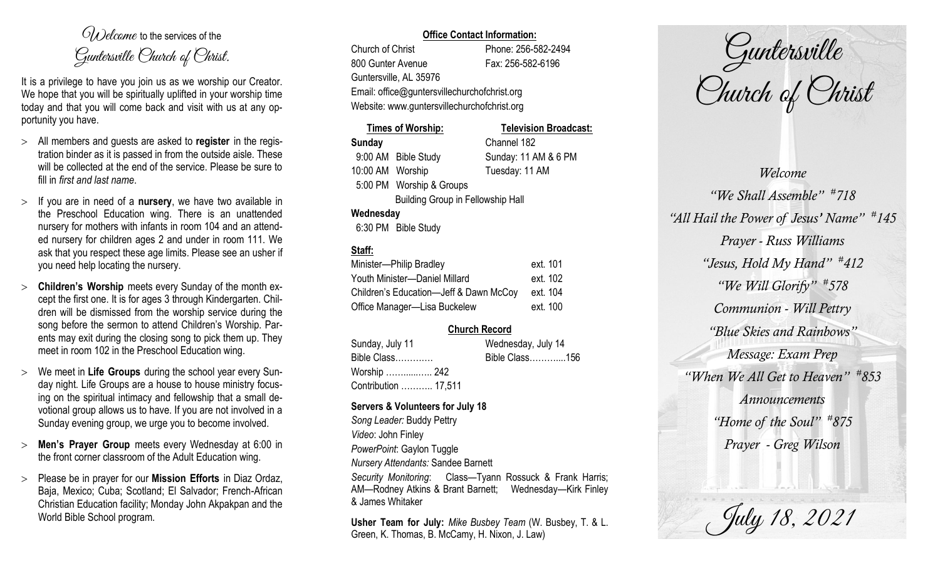$O(\lambda)$  elcame to the services of the Guntersville Church of Christ.

It is a privilege to have you join us as we worship our Creator. We hope that you will be spiritually uplifted in your worship time today and that you will come back and visit with us at any opportunity you have.

- All members and guests are asked to **register** in the registration binder as it is passed in from the outside aisle. These will be collected at the end of the service. Please be sure to fill in *first and last name*.
- $>$  If you are in need of a **nursery**, we have two available in the Preschool Education wing. There is an unattended nursery for mothers with infants in room 104 and an attended nursery for children ages 2 and under in room 111. We ask that you respect these age limits. Please see an usher if you need help locating the nursery.
- **Children's Worship** meets every Sunday of the month except the first one. It is for ages 3 through Kindergarten. Children will be dismissed from the worship service during the song before the sermon to attend Children's Worship. Parents may exit during the closing song to pick them up. They meet in room 102 in the Preschool Education wing.
- We meet in **Life Groups** during the school year every Sunday night. Life Groups are a house to house ministry focusing on the spiritual intimacy and fellowship that a small devotional group allows us to have. If you are not involved in a Sunday evening group, we urge you to become involved.
- **Men's Prayer Group** meets every Wednesday at 6:00 in the front corner classroom of the Adult Education wing.
- Please be in prayer for our **Mission Efforts** in Diaz Ordaz, Baja, Mexico; Cuba; Scotland; El Salvador; French-African Christian Education facility; Monday John Akpakpan and the World Bible School program.

## **Office Contact Information:**

Church of Christ Phone: 256-582-2494 800 Gunter Avenue Fax: 256-582-6196 Guntersville, AL 35976 Website: www.guntersvillechurchofchrist.org

Email: office@guntersvillechurchofchrist.org

| <b>Times of Worship:</b>                 |                          | <b>Television Broadcast:</b> |  |  |
|------------------------------------------|--------------------------|------------------------------|--|--|
| <b>Sunday</b>                            |                          | Channel 182                  |  |  |
|                                          | 9:00 AM Bible Study      | Sunday: 11 AM & 6 PM         |  |  |
| 10:00 AM Worship                         |                          | Tuesday: 11 AM               |  |  |
|                                          | 5:00 PM Worship & Groups |                              |  |  |
| <b>Building Group in Fellowship Hall</b> |                          |                              |  |  |
| Wednesday                                |                          |                              |  |  |
|                                          | $0.00001$ $0.11$ $0.11$  |                              |  |  |

# 6:30 PM Bible Study

# **Staff:**

| Minister-Philip Bradley                | ext. 101 |
|----------------------------------------|----------|
| Youth Minister-Daniel Millard          | ext. 102 |
| Children's Education-Jeff & Dawn McCoy | ext. 104 |
| Office Manager-Lisa Buckelew           | ext. 100 |

## **Church Record**

| Sunday, July 11      |  | Wednesday, July 14 |  |
|----------------------|--|--------------------|--|
| Bible Class          |  | Bible Class156     |  |
| Worship  242         |  |                    |  |
| Contribution  17,511 |  |                    |  |

#### **Servers & Volunteers for July 18**

*Song Leader:* Buddy Pettry *Video*: John Finley *PowerPoint*: Gaylon Tuggle *Nursery Attendants:* Sandee Barnett *Security Monitoring*: Class—Tyann Rossuck & Frank Harris; AM—Rodney Atkins & Brant Barnett; Wednesday—Kirk Finley & James Whitaker

**Usher Team for July:** *Mike Busbey Team* (W. Busbey, T. & L. Green, K. Thomas, B. McCamy, H. Nixon, J. Law)

Guntersville Church of Christ

*Welcome "We Shall Assemble" # 718 "All Hail the Power of Jesus' Name" # 145 Prayer - Russ Williams "Jesus, Hold My Hand" # 412 "We Will Glorify" # 578 Communion - Will Pettry "Blue Skies and Rainbows" Message: Exam Prep "When We All Get to Heaven" # 853 Announcements "Home of the Soul" # 875 Prayer - Greg Wilson*

July 18, 2021